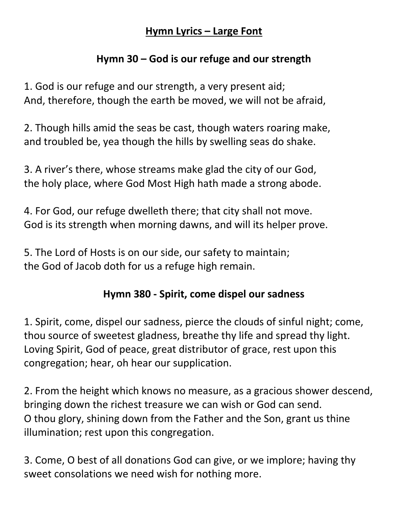#### **Hymn Lyrics – Large Font**

## **Hymn 30 – God is our refuge and our strength**

1. God is our refuge and our strength, a very present aid; And, therefore, though the earth be moved, we will not be afraid,

2. Though hills amid the seas be cast, though waters roaring make, and troubled be, yea though the hills by swelling seas do shake.

3. A river's there, whose streams make glad the city of our God, the holy place, where God Most High hath made a strong abode.

4. For God, our refuge dwelleth there; that city shall not move. God is its strength when morning dawns, and will its helper prove.

5. The Lord of Hosts is on our side, our safety to maintain; the God of Jacob doth for us a refuge high remain.

## **Hymn 380 - Spirit, come dispel our sadness**

1. Spirit, come, dispel our sadness, pierce the clouds of sinful night; come, thou source of sweetest gladness, breathe thy life and spread thy light. Loving Spirit, God of peace, great distributor of grace, rest upon this congregation; hear, oh hear our supplication.

2. From the height which knows no measure, as a gracious shower descend, bringing down the richest treasure we can wish or God can send. O thou glory, shining down from the Father and the Son, grant us thine illumination; rest upon this congregation.

3. Come, O best of all donations God can give, or we implore; having thy sweet consolations we need wish for nothing more.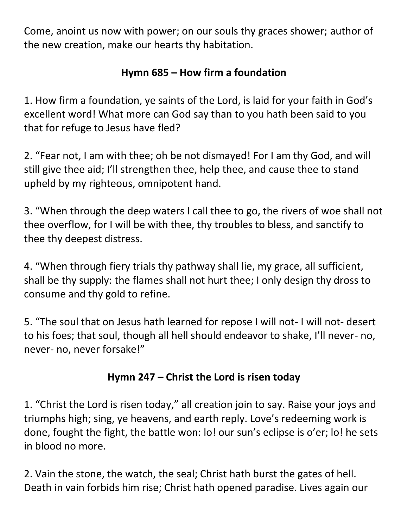Come, anoint us now with power; on our souls thy graces shower; author of the new creation, make our hearts thy habitation.

# **Hymn 685 – How firm a foundation**

1. How firm a foundation, ye saints of the Lord, is laid for your faith in God's excellent word! What more can God say than to you hath been said to you that for refuge to Jesus have fled?

2. "Fear not, I am with thee; oh be not dismayed! For I am thy God, and will still give thee aid; I'll strengthen thee, help thee, and cause thee to stand upheld by my righteous, omnipotent hand.

3. "When through the deep waters I call thee to go, the rivers of woe shall not thee overflow, for I will be with thee, thy troubles to bless, and sanctify to thee thy deepest distress.

4. "When through fiery trials thy pathway shall lie, my grace, all sufficient, shall be thy supply: the flames shall not hurt thee; I only design thy dross to consume and thy gold to refine.

5. "The soul that on Jesus hath learned for repose I will not- I will not- desert to his foes; that soul, though all hell should endeavor to shake, I'll never- no, never- no, never forsake!"

## **Hymn 247 – Christ the Lord is risen today**

1. "Christ the Lord is risen today," all creation join to say. Raise your joys and triumphs high; sing, ye heavens, and earth reply. Love's redeeming work is done, fought the fight, the battle won: lo! our sun's eclipse is o'er; lo! he sets in blood no more.

2. Vain the stone, the watch, the seal; Christ hath burst the gates of hell. Death in vain forbids him rise; Christ hath opened paradise. Lives again our